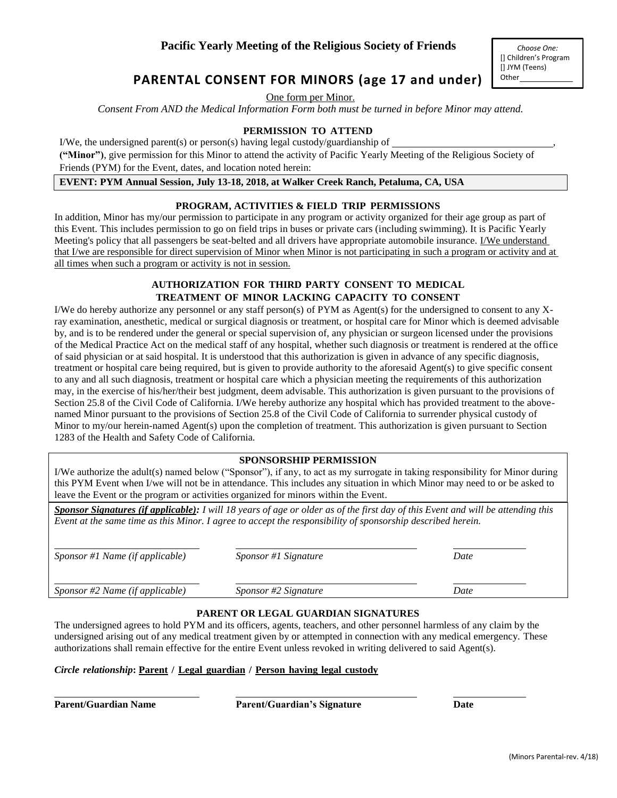# **PARENTAL CONSENT FOR MINORS (age 17 and under)**

One form per Minor.

*Consent From AND the Medical Information Form both must be turned in before Minor may attend.*

#### **PERMISSION TO ATTEND**

I/We, the undersigned parent(s) or person(s) having legal custody/guardianship of  $\overline{\phantom{a}}$ **("Minor")**, give permission for this Minor to attend the activity of Pacific Yearly Meeting of the Religious Society of

Friends (PYM) for the Event, dates, and location noted herein:

**EVENT: PYM Annual Session, July 13-18, 2018, at Walker Creek Ranch, Petaluma, CA, USA**

#### **PROGRAM, ACTIVITIES & FIELD TRIP PERMISSIONS**

In addition, Minor has my/our permission to participate in any program or activity organized for their age group as part of this Event. This includes permission to go on field trips in buses or private cars (including swimming). It is Pacific Yearly Meeting's policy that all passengers be seat-belted and all drivers have appropriate automobile insurance. I/We understand that I/we are responsible for direct supervision of Minor when Minor is not participating in such a program or activity and at all times when such a program or activity is not in session.

## **AUTHORIZATION FOR THIRD PARTY CONSENT TO MEDICAL TREATMENT OF MINOR LACKING CAPACITY TO CONSENT**

I/We do hereby authorize any personnel or any staff person(s) of PYM as Agent(s) for the undersigned to consent to any Xray examination, anesthetic, medical or surgical diagnosis or treatment, or hospital care for Minor which is deemed advisable by, and is to be rendered under the general or special supervision of, any physician or surgeon licensed under the provisions of the Medical Practice Act on the medical staff of any hospital, whether such diagnosis or treatment is rendered at the office of said physician or at said hospital. It is understood that this authorization is given in advance of any specific diagnosis, treatment or hospital care being required, but is given to provide authority to the aforesaid Agent(s) to give specific consent to any and all such diagnosis, treatment or hospital care which a physician meeting the requirements of this authorization may, in the exercise of his/her/their best judgment, deem advisable. This authorization is given pursuant to the provisions of Section 25.8 of the Civil Code of California. I/We hereby authorize any hospital which has provided treatment to the abovenamed Minor pursuant to the provisions of Section 25.8 of the Civil Code of California to surrender physical custody of Minor to my/our herein-named Agent(s) upon the completion of treatment. This authorization is given pursuant to Section 1283 of the Health and Safety Code of California.

#### **SPONSORSHIP PERMISSION**

I/We authorize the adult(s) named below ("Sponsor"), if any, to act as my surrogate in taking responsibility for Minor during this PYM Event when I/we will not be in attendance. This includes any situation in which Minor may need to or be asked to leave the Event or the program or activities organized for minors within the Event.

*Sponsor Signatures (if applicable): I will 18 years of age or older as of the first day of this Event and will be attending this Event at the same time as this Minor. I agree to accept the responsibility of sponsorship described herein.*

| Sponsor #1 Name (if applicable) | <i>Sponsor</i> #1 Signature | Date |
|---------------------------------|-----------------------------|------|
| Sponsor #2 Name (if applicable) | <i>Sponsor #2 Signature</i> | Date |

#### **PARENT OR LEGAL GUARDIAN SIGNATURES**

The undersigned agrees to hold PYM and its officers, agents, teachers, and other personnel harmless of any claim by the undersigned arising out of any medical treatment given by or attempted in connection with any medical emergency. These authorizations shall remain effective for the entire Event unless revoked in writing delivered to said Agent(s).

#### *Circle relationship***: Parent / Legal guardian / Person having legal custody**

**Parent/Guardian Name Parent/Guardian's Signature Date**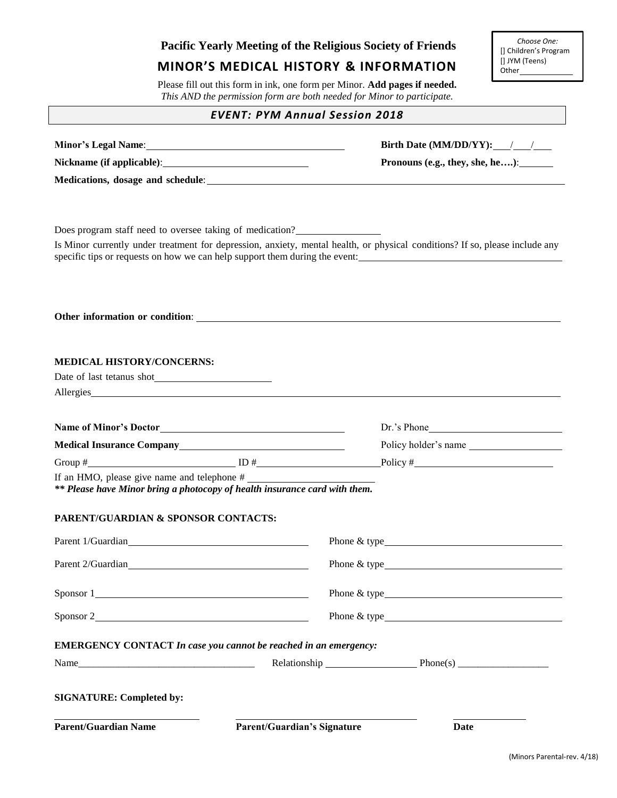# **Pacific Yearly Meeting of the Religious Society of Friends MINOR'S MEDICAL HISTORY & INFORMATION** Please fill out this form in ink, one form per Minor. **Add pages if needed.**  *This AND the permission form are both needed for Minor to participate. EVENT: PYM Annual Session 2018* **Minor's Legal Name: Birth Date (MM/DD/YY):** / / / **Nickname (if applicable)**: **Pronouns (e.g., they, she, he….)**: **Medications, dosage and schedule**: Does program staff need to oversee taking of medication? Is Minor currently under treatment for depression, anxiety, mental health, or physical conditions? If so, please include any specific tips or requests on how we can help support them during the event: **Other information or condition**: **MEDICAL HISTORY/CONCERNS:** Date of last tetanus shot Allergies **Name of Minor's Doctor Dr.'s Phone Medical Insurance Company Policy holder's name** Group  $\#$   $\Box$  ID  $\#$   $\Box$  Policy  $\#$   $\Box$ If an HMO, please give name and telephone # *\*\* Please have Minor bring a photocopy of health insurance card with them.* **PARENT/GUARDIAN & SPONSOR CONTACTS:** Parent 1/Guardian **Phone & type** Phone & type Parent 2/Guardian **Phone & type** Sponsor 1 Phone & type Sponsor 2 Phone & type **EMERGENCY CONTACT** *In case you cannot be reached in an emergency:* Name\_\_\_\_\_\_\_\_\_\_\_\_\_\_\_\_\_\_\_\_\_\_\_\_\_\_\_\_\_\_\_\_\_\_\_ Relationship Phone(s) \_\_\_\_\_\_\_\_\_\_\_\_\_\_\_\_\_\_ **SIGNATURE: Completed by: Parent/Guardian Name Parent/Guardian's Signature Date** *Choose One:* [] Children's Program [] JYM (Teens) Other\_\_\_\_\_\_\_